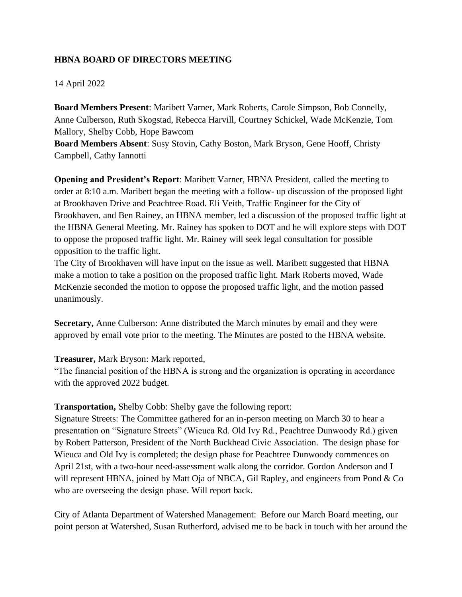## **HBNA BOARD OF DIRECTORS MEETING**

## 14 April 2022

**Board Members Present**: Maribett Varner, Mark Roberts, Carole Simpson, Bob Connelly, Anne Culberson, Ruth Skogstad, Rebecca Harvill, Courtney Schickel, Wade McKenzie, Tom Mallory, Shelby Cobb, Hope Bawcom

**Board Members Absent**: Susy Stovin, Cathy Boston, Mark Bryson, Gene Hooff, Christy Campbell, Cathy Iannotti

**Opening and President's Report**: Maribett Varner, HBNA President, called the meeting to order at 8:10 a.m. Maribett began the meeting with a follow- up discussion of the proposed light at Brookhaven Drive and Peachtree Road. Eli Veith, Traffic Engineer for the City of Brookhaven, and Ben Rainey, an HBNA member, led a discussion of the proposed traffic light at the HBNA General Meeting. Mr. Rainey has spoken to DOT and he will explore steps with DOT to oppose the proposed traffic light. Mr. Rainey will seek legal consultation for possible opposition to the traffic light.

The City of Brookhaven will have input on the issue as well. Maribett suggested that HBNA make a motion to take a position on the proposed traffic light. Mark Roberts moved, Wade McKenzie seconded the motion to oppose the proposed traffic light, and the motion passed unanimously.

**Secretary,** Anne Culberson: Anne distributed the March minutes by email and they were approved by email vote prior to the meeting. The Minutes are posted to the HBNA website.

## **Treasurer,** Mark Bryson: Mark reported,

"The financial position of the HBNA is strong and the organization is operating in accordance with the approved 2022 budget.

## **Transportation,** Shelby Cobb: Shelby gave the following report:

Signature Streets: The Committee gathered for an in-person meeting on March 30 to hear a presentation on "Signature Streets" (Wieuca Rd. Old Ivy Rd., Peachtree Dunwoody Rd.) given by Robert Patterson, President of the North Buckhead Civic Association. The design phase for Wieuca and Old Ivy is completed; the design phase for Peachtree Dunwoody commences on April 21st, with a two-hour need-assessment walk along the corridor. Gordon Anderson and I will represent HBNA, joined by Matt Oja of NBCA, Gil Rapley, and engineers from Pond & Co who are overseeing the design phase. Will report back.

City of Atlanta Department of Watershed Management: Before our March Board meeting, our point person at Watershed, Susan Rutherford, advised me to be back in touch with her around the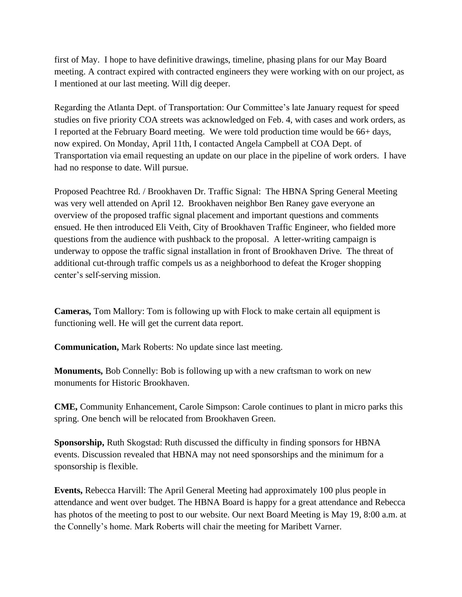first of May. I hope to have definitive drawings, timeline, phasing plans for our May Board meeting. A contract expired with contracted engineers they were working with on our project, as I mentioned at our last meeting. Will dig deeper.

Regarding the Atlanta Dept. of Transportation: Our Committee's late January request for speed studies on five priority COA streets was acknowledged on Feb. 4, with cases and work orders, as I reported at the February Board meeting. We were told production time would be 66+ days, now expired. On Monday, April 11th, I contacted Angela Campbell at COA Dept. of Transportation via email requesting an update on our place in the pipeline of work orders. I have had no response to date. Will pursue.

Proposed Peachtree Rd. / Brookhaven Dr. Traffic Signal: The HBNA Spring General Meeting was very well attended on April 12. Brookhaven neighbor Ben Raney gave everyone an overview of the proposed traffic signal placement and important questions and comments ensued. He then introduced Eli Veith, City of Brookhaven Traffic Engineer, who fielded more questions from the audience with pushback to the proposal. A letter-writing campaign is underway to oppose the traffic signal installation in front of Brookhaven Drive. The threat of additional cut-through traffic compels us as a neighborhood to defeat the Kroger shopping center's self-serving mission.

**Cameras,** Tom Mallory: Tom is following up with Flock to make certain all equipment is functioning well. He will get the current data report.

**Communication,** Mark Roberts: No update since last meeting.

**Monuments,** Bob Connelly: Bob is following up with a new craftsman to work on new monuments for Historic Brookhaven.

**CME,** Community Enhancement, Carole Simpson: Carole continues to plant in micro parks this spring. One bench will be relocated from Brookhaven Green.

**Sponsorship,** Ruth Skogstad: Ruth discussed the difficulty in finding sponsors for HBNA events. Discussion revealed that HBNA may not need sponsorships and the minimum for a sponsorship is flexible.

**Events,** Rebecca Harvill: The April General Meeting had approximately 100 plus people in attendance and went over budget. The HBNA Board is happy for a great attendance and Rebecca has photos of the meeting to post to our website. Our next Board Meeting is May 19, 8:00 a.m. at the Connelly's home. Mark Roberts will chair the meeting for Maribett Varner.